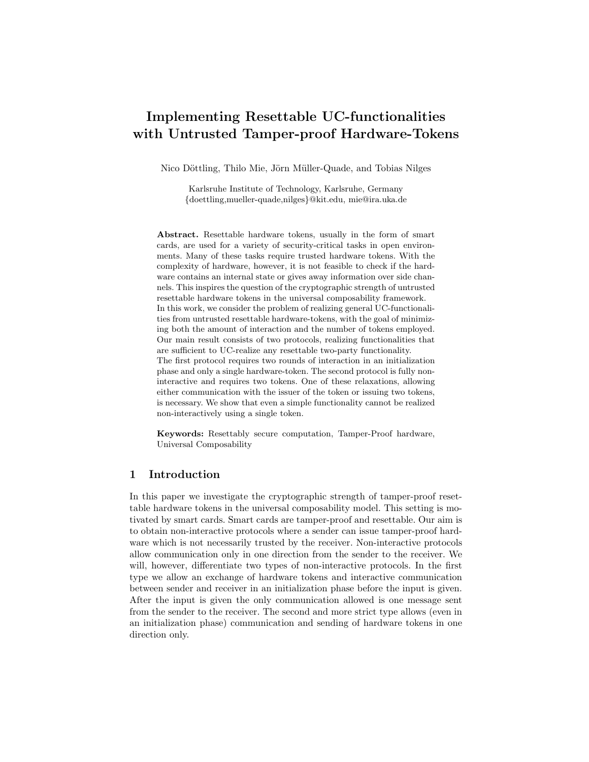# Implementing Resettable UC-functionalities with Untrusted Tamper-proof Hardware-Tokens

Nico Döttling, Thilo Mie, Jörn Müller-Quade, and Tobias Nilges

Karlsruhe Institute of Technology, Karlsruhe, Germany {doettling,mueller-quade,nilges}@kit.edu, mie@ira.uka.de

Abstract. Resettable hardware tokens, usually in the form of smart cards, are used for a variety of security-critical tasks in open environments. Many of these tasks require trusted hardware tokens. With the complexity of hardware, however, it is not feasible to check if the hardware contains an internal state or gives away information over side channels. This inspires the question of the cryptographic strength of untrusted resettable hardware tokens in the universal composability framework. In this work, we consider the problem of realizing general UC-functionalities from untrusted resettable hardware-tokens, with the goal of minimizing both the amount of interaction and the number of tokens employed. Our main result consists of two protocols, realizing functionalities that are sufficient to UC-realize any resettable two-party functionality. The first protocol requires two rounds of interaction in an initialization phase and only a single hardware-token. The second protocol is fully noninteractive and requires two tokens. One of these relaxations, allowing either communication with the issuer of the token or issuing two tokens, is necessary. We show that even a simple functionality cannot be realized non-interactively using a single token.

Keywords: Resettably secure computation, Tamper-Proof hardware, Universal Composability

## 1 Introduction

In this paper we investigate the cryptographic strength of tamper-proof resettable hardware tokens in the universal composability model. This setting is motivated by smart cards. Smart cards are tamper-proof and resettable. Our aim is to obtain non-interactive protocols where a sender can issue tamper-proof hardware which is not necessarily trusted by the receiver. Non-interactive protocols allow communication only in one direction from the sender to the receiver. We will, however, differentiate two types of non-interactive protocols. In the first type we allow an exchange of hardware tokens and interactive communication between sender and receiver in an initialization phase before the input is given. After the input is given the only communication allowed is one message sent from the sender to the receiver. The second and more strict type allows (even in an initialization phase) communication and sending of hardware tokens in one direction only.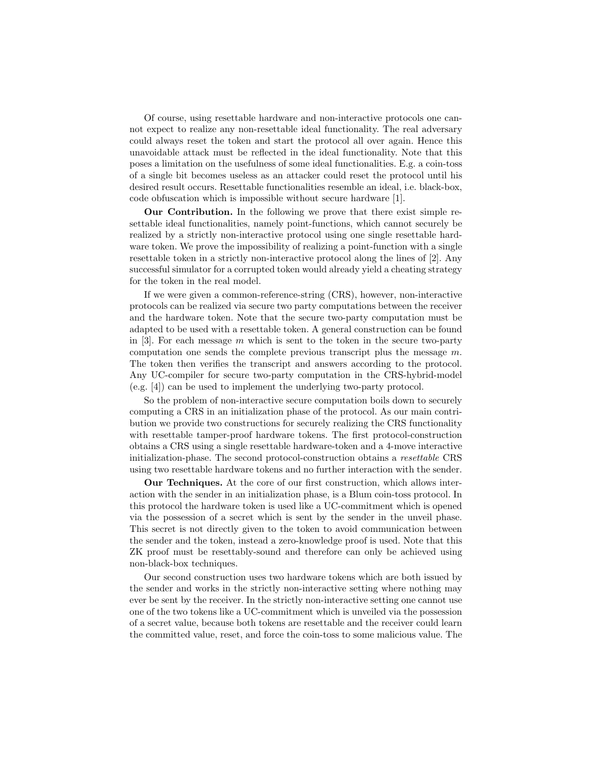Of course, using resettable hardware and non-interactive protocols one cannot expect to realize any non-resettable ideal functionality. The real adversary could always reset the token and start the protocol all over again. Hence this unavoidable attack must be reflected in the ideal functionality. Note that this poses a limitation on the usefulness of some ideal functionalities. E.g. a coin-toss of a single bit becomes useless as an attacker could reset the protocol until his desired result occurs. Resettable functionalities resemble an ideal, i.e. black-box, code obfuscation which is impossible without secure hardware [1].

Our Contribution. In the following we prove that there exist simple resettable ideal functionalities, namely point-functions, which cannot securely be realized by a strictly non-interactive protocol using one single resettable hardware token. We prove the impossibility of realizing a point-function with a single resettable token in a strictly non-interactive protocol along the lines of [2]. Any successful simulator for a corrupted token would already yield a cheating strategy for the token in the real model.

If we were given a common-reference-string (CRS), however, non-interactive protocols can be realized via secure two party computations between the receiver and the hardware token. Note that the secure two-party computation must be adapted to be used with a resettable token. A general construction can be found in [3]. For each message  $m$  which is sent to the token in the secure two-party computation one sends the complete previous transcript plus the message m. The token then verifies the transcript and answers according to the protocol. Any UC-compiler for secure two-party computation in the CRS-hybrid-model (e.g. [4]) can be used to implement the underlying two-party protocol.

So the problem of non-interactive secure computation boils down to securely computing a CRS in an initialization phase of the protocol. As our main contribution we provide two constructions for securely realizing the CRS functionality with resettable tamper-proof hardware tokens. The first protocol-construction obtains a CRS using a single resettable hardware-token and a 4-move interactive initialization-phase. The second protocol-construction obtains a resettable CRS using two resettable hardware tokens and no further interaction with the sender.

Our Techniques. At the core of our first construction, which allows interaction with the sender in an initialization phase, is a Blum coin-toss protocol. In this protocol the hardware token is used like a UC-commitment which is opened via the possession of a secret which is sent by the sender in the unveil phase. This secret is not directly given to the token to avoid communication between the sender and the token, instead a zero-knowledge proof is used. Note that this ZK proof must be resettably-sound and therefore can only be achieved using non-black-box techniques.

Our second construction uses two hardware tokens which are both issued by the sender and works in the strictly non-interactive setting where nothing may ever be sent by the receiver. In the strictly non-interactive setting one cannot use one of the two tokens like a UC-commitment which is unveiled via the possession of a secret value, because both tokens are resettable and the receiver could learn the committed value, reset, and force the coin-toss to some malicious value. The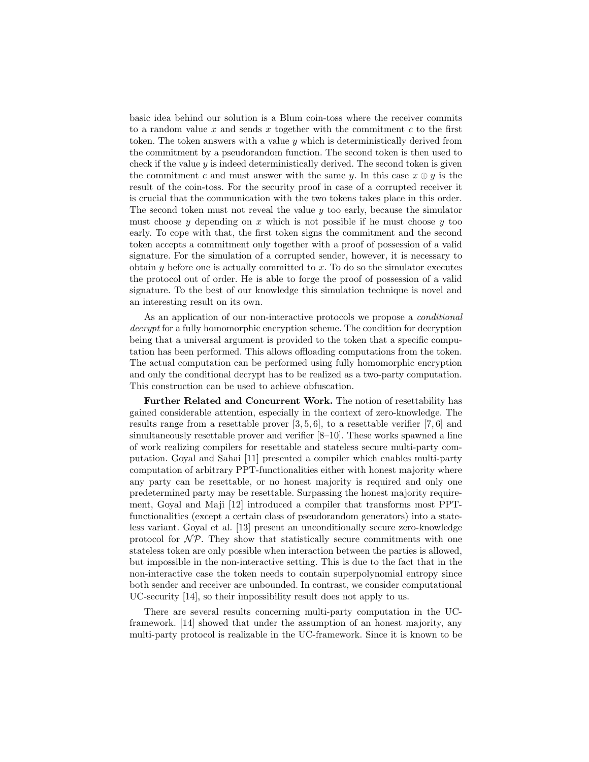basic idea behind our solution is a Blum coin-toss where the receiver commits to a random value x and sends x together with the commitment  $c$  to the first token. The token answers with a value y which is deterministically derived from the commitment by a pseudorandom function. The second token is then used to check if the value  $y$  is indeed deterministically derived. The second token is given the commitment c and must answer with the same y. In this case  $x \oplus y$  is the result of the coin-toss. For the security proof in case of a corrupted receiver it is crucial that the communication with the two tokens takes place in this order. The second token must not reveal the value  $y$  too early, because the simulator must choose  $y$  depending on  $x$  which is not possible if he must choose  $y$  too early. To cope with that, the first token signs the commitment and the second token accepts a commitment only together with a proof of possession of a valid signature. For the simulation of a corrupted sender, however, it is necessary to obtain  $y$  before one is actually committed to  $x$ . To do so the simulator executes the protocol out of order. He is able to forge the proof of possession of a valid signature. To the best of our knowledge this simulation technique is novel and an interesting result on its own.

As an application of our non-interactive protocols we propose a conditional decrypt for a fully homomorphic encryption scheme. The condition for decryption being that a universal argument is provided to the token that a specific computation has been performed. This allows offloading computations from the token. The actual computation can be performed using fully homomorphic encryption and only the conditional decrypt has to be realized as a two-party computation. This construction can be used to achieve obfuscation.

Further Related and Concurrent Work. The notion of resettability has gained considerable attention, especially in the context of zero-knowledge. The results range from a resettable prover  $[3, 5, 6]$ , to a resettable verifier  $[7, 6]$  and simultaneously resettable prover and verifier [8–10]. These works spawned a line of work realizing compilers for resettable and stateless secure multi-party computation. Goyal and Sahai [11] presented a compiler which enables multi-party computation of arbitrary PPT-functionalities either with honest majority where any party can be resettable, or no honest majority is required and only one predetermined party may be resettable. Surpassing the honest majority requirement, Goyal and Maji [12] introduced a compiler that transforms most PPTfunctionalities (except a certain class of pseudorandom generators) into a stateless variant. Goyal et al. [13] present an unconditionally secure zero-knowledge protocol for  $N\mathcal{P}$ . They show that statistically secure commitments with one stateless token are only possible when interaction between the parties is allowed, but impossible in the non-interactive setting. This is due to the fact that in the non-interactive case the token needs to contain superpolynomial entropy since both sender and receiver are unbounded. In contrast, we consider computational UC-security [14], so their impossibility result does not apply to us.

There are several results concerning multi-party computation in the UCframework. [14] showed that under the assumption of an honest majority, any multi-party protocol is realizable in the UC-framework. Since it is known to be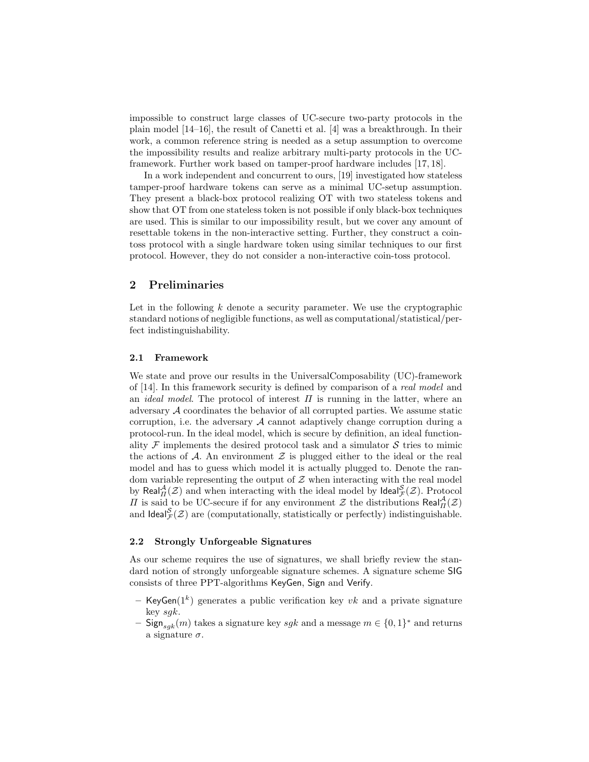impossible to construct large classes of UC-secure two-party protocols in the plain model [14–16], the result of Canetti et al. [4] was a breakthrough. In their work, a common reference string is needed as a setup assumption to overcome the impossibility results and realize arbitrary multi-party protocols in the UCframework. Further work based on tamper-proof hardware includes [17, 18].

In a work independent and concurrent to ours, [19] investigated how stateless tamper-proof hardware tokens can serve as a minimal UC-setup assumption. They present a black-box protocol realizing OT with two stateless tokens and show that OT from one stateless token is not possible if only black-box techniques are used. This is similar to our impossibility result, but we cover any amount of resettable tokens in the non-interactive setting. Further, they construct a cointoss protocol with a single hardware token using similar techniques to our first protocol. However, they do not consider a non-interactive coin-toss protocol.

# 2 Preliminaries

Let in the following  $k$  denote a security parameter. We use the cryptographic standard notions of negligible functions, as well as computational/statistical/perfect indistinguishability.

#### 2.1 Framework

We state and prove our results in the Universal Composability (UC)-framework of [14]. In this framework security is defined by comparison of a real model and an *ideal model*. The protocol of interest  $\Pi$  is running in the latter, where an adversary A coordinates the behavior of all corrupted parties. We assume static corruption, i.e. the adversary  $A$  cannot adaptively change corruption during a protocol-run. In the ideal model, which is secure by definition, an ideal functionality  $\mathcal F$  implements the desired protocol task and a simulator  $\mathcal S$  tries to mimic the actions of A. An environment  $\mathcal Z$  is plugged either to the ideal or the real model and has to guess which model it is actually plugged to. Denote the random variable representing the output of  $Z$  when interacting with the real model by Real $^{\mathcal{A}}_{\Pi}(\mathcal{Z})$  and when interacting with the ideal model by Ideal $^{\mathcal{S}}_{\mathcal{F}}(\mathcal{Z})$ . Protocol  $\Pi$  is said to be UC-secure if for any environment  $\mathcal Z$  the distributions Real $^{\mathcal A}_\Pi(\mathcal Z)$ and  $\textsf{Ideal}_{\mathcal{F}}^{\mathcal{S}}(\mathcal{Z})$  are (computationally, statistically or perfectly) indistinguishable.

#### 2.2 Strongly Unforgeable Signatures

As our scheme requires the use of signatures, we shall briefly review the standard notion of strongly unforgeable signature schemes. A signature scheme SIG consists of three PPT-algorithms KeyGen, Sign and Verify.

- KeyGen( $1^k$ ) generates a public verification key vk and a private signature key sgk.
- $\textsf{Sign}_{sgk}(m)$  takes a signature key  $sgk$  and a message  $m \in \{0,1\}^*$  and returns a signature  $\sigma$ .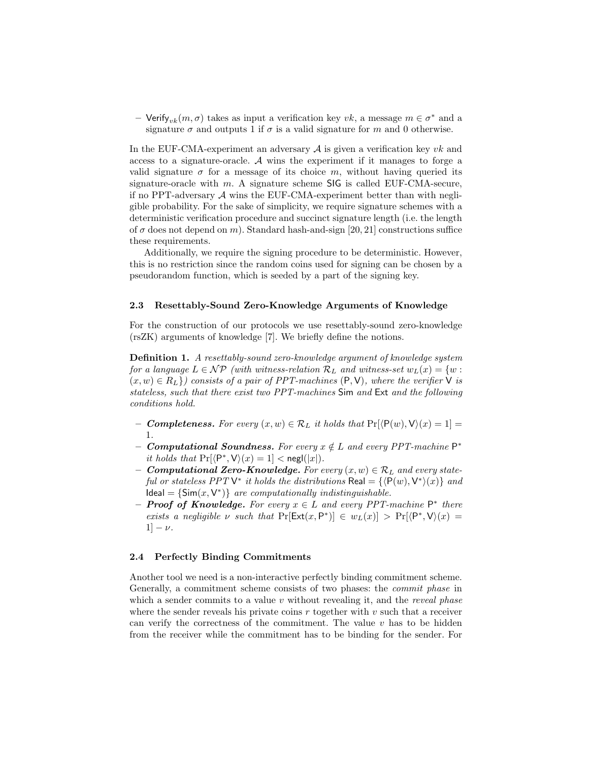– Verify<sub>vk</sub> $(m, \sigma)$  takes as input a verification key vk, a message  $m \in \sigma^*$  and a signature  $\sigma$  and outputs 1 if  $\sigma$  is a valid signature for m and 0 otherwise.

In the EUF-CMA-experiment an adversary  $A$  is given a verification key vk and access to a signature-oracle.  $A$  wins the experiment if it manages to forge a valid signature  $\sigma$  for a message of its choice m, without having queried its signature-oracle with  $m$ . A signature scheme SIG is called EUF-CMA-secure, if no PPT-adversary  $\mathcal A$  wins the EUF-CMA-experiment better than with negligible probability. For the sake of simplicity, we require signature schemes with a deterministic verification procedure and succinct signature length (i.e. the length of  $\sigma$  does not depend on m). Standard hash-and-sign [20, 21] constructions suffice these requirements.

Additionally, we require the signing procedure to be deterministic. However, this is no restriction since the random coins used for signing can be chosen by a pseudorandom function, which is seeded by a part of the signing key.

#### 2.3 Resettably-Sound Zero-Knowledge Arguments of Knowledge

For the construction of our protocols we use resettably-sound zero-knowledge (rsZK) arguments of knowledge [7]. We briefly define the notions.

Definition 1. A resettably-sound zero-knowledge argument of knowledge system for a language  $L \in \mathcal{NP}$  (with witness-relation  $\mathcal{R}_L$  and witness-set  $w_L(x) = \{w :$  $(x, w) \in R_L$ ) consists of a pair of PPT-machines  $(P, V)$ , where the verifier V is stateless, such that there exist two PPT-machines Sim and Ext and the following conditions hold.

- **Completeness.** For every  $(x, w) \in \mathcal{R}_L$  it holds that  $Pr[\langle P(w), V \rangle | x] = 1$  = 1.
- − Computational Soundness. For every  $x \notin L$  and every PPT-machine  $\mathsf{P}^*$ it holds that  $Pr[\langle P^*, V \rangle(x) = 1] < negl(|x|)$ .
- **Computational Zero-Knowledge.** For every  $(x, w) \in \mathcal{R}_L$  and every stateful or stateless PPT  $V^*$  it holds the distributions Real = { $\{P(w), V^*(x)\}$  and  $\mathsf{Ideal} = \{\mathsf{Sim}(x, \mathsf{V}^*)\}$  are computationally indistinguishable.
- **Proof of Knowledge.** For every  $x \in L$  and every PPT-machine  $P^*$  there exists a negligible  $\nu$  such that  $\Pr[\text{Ext}(x, P^*)] \in w_L(x) > \Pr[\langle P^*, V \rangle(x) =$  $1 - \nu$ .

#### 2.4 Perfectly Binding Commitments

Another tool we need is a non-interactive perfectly binding commitment scheme. Generally, a commitment scheme consists of two phases: the commit phase in which a sender commits to a value  $v$  without revealing it, and the *reveal phase* where the sender reveals his private coins  $r$  together with  $v$  such that a receiver can verify the correctness of the commitment. The value  $v$  has to be hidden from the receiver while the commitment has to be binding for the sender. For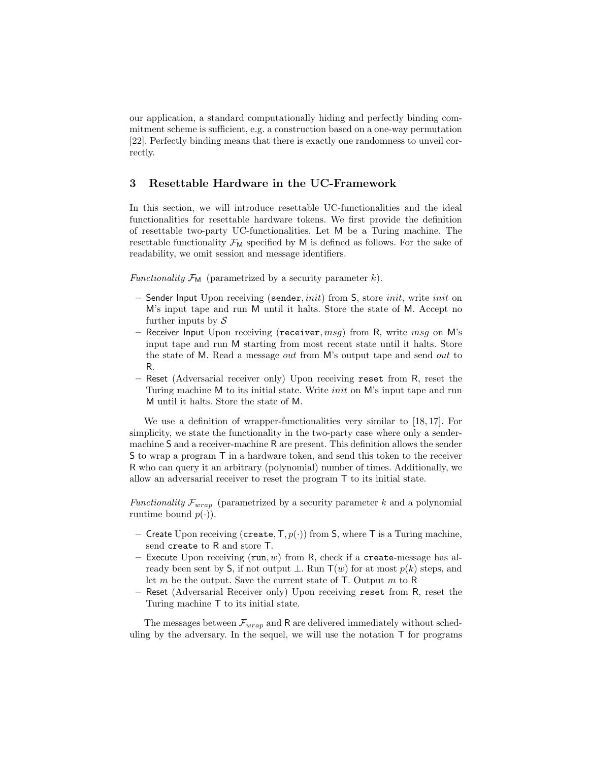our application, a standard computationally hiding and perfectly binding commitment scheme is sufficient, e.g. a construction based on a one-way permutation [22]. Perfectly binding means that there is exactly one randomness to unveil correctly.

# 3 Resettable Hardware in the UC-Framework

In this section, we will introduce resettable UC-functionalities and the ideal functionalities for resettable hardware tokens. We first provide the definition of resettable two-party UC-functionalities. Let M be a Turing machine. The resettable functionality  $\mathcal{F}_{M}$  specified by M is defined as follows. For the sake of readability, we omit session and message identifiers.

Functionality  $\mathcal{F}_{M}$  (parametrized by a security parameter k).

- $-$  Sender Input Upon receiving (sender, init) from S, store init, write init on M's input tape and run M until it halts. Store the state of M. Accept no further inputs by  $\mathcal S$
- Receiver Input Upon receiving (receiver,  $msg$ ) from R, write  $msg$  on M's input tape and run M starting from most recent state until it halts. Store the state of M. Read a message out from M's output tape and send out to R.
- Reset (Adversarial receiver only) Upon receiving reset from R, reset the Turing machine M to its initial state. Write init on M's input tape and run M until it halts. Store the state of M.

We use a definition of wrapper-functionalities very similar to [18, 17]. For simplicity, we state the functionality in the two-party case where only a sendermachine S and a receiver-machine R are present. This definition allows the sender S to wrap a program T in a hardware token, and send this token to the receiver R who can query it an arbitrary (polynomial) number of times. Additionally, we allow an adversarial receiver to reset the program T to its initial state.

Functionality  $\mathcal{F}_{wrap}$  (parametrized by a security parameter k and a polynomial runtime bound  $p(\cdot)$ ).

- Create Upon receiving (create,  $T, p(\cdot)$ ) from S, where T is a Turing machine, send create to R and store T.
- Execute Upon receiving  $(\text{run}, w)$  from R, check if a create-message has already been sent by S, if not output  $\perp$ . Run  $\mathsf{T}(w)$  for at most  $p(k)$  steps, and let m be the output. Save the current state of  $\mathsf{T}$ . Output m to  $\mathsf{R}$
- Reset (Adversarial Receiver only) Upon receiving reset from R, reset the Turing machine T to its initial state.

The messages between  $\mathcal{F}_{wrap}$  and R are delivered immediately without scheduling by the adversary. In the sequel, we will use the notation  $\mathsf T$  for programs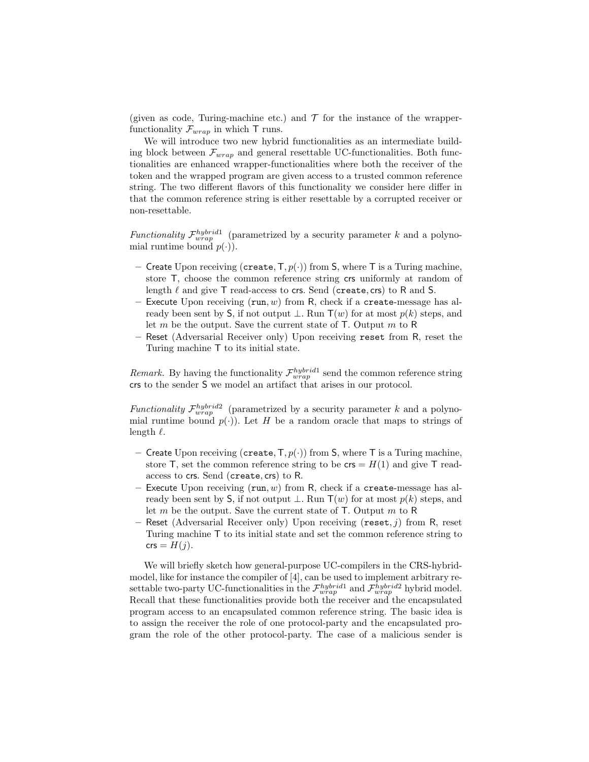(given as code, Turing-machine etc.) and  $\mathcal T$  for the instance of the wrapperfunctionality  $\mathcal{F}_{wrap}$  in which T runs.

We will introduce two new hybrid functionalities as an intermediate building block between  $\mathcal{F}_{wrap}$  and general resettable UC-functionalities. Both functionalities are enhanced wrapper-functionalities where both the receiver of the token and the wrapped program are given access to a trusted common reference string. The two different flavors of this functionality we consider here differ in that the common reference string is either resettable by a corrupted receiver or non-resettable.

Functionality  $\mathcal{F}^{hybrid}_{wrap}$  (parametrized by a security parameter k and a polynomial runtime bound  $p(\cdot)$ ).

- Create Upon receiving (create,  $T, p(.)$ ) from S, where T is a Turing machine, store T, choose the common reference string crs uniformly at random of length  $\ell$  and give T read-access to crs. Send (create, crs) to R and S.
- Execute Upon receiving  $(\text{run}, w)$  from R, check if a create-message has already been sent by S, if not output  $\perp$ . Run  $\mathsf{T}(w)$  for at most  $p(k)$  steps, and let m be the output. Save the current state of  $\mathsf{T}$ . Output m to  $\mathsf{R}$
- Reset (Adversarial Receiver only) Upon receiving reset from R, reset the Turing machine T to its initial state.

Remark. By having the functionality  $\mathcal{F}_{wrap}^{hybrid}$  send the common reference string crs to the sender S we model an artifact that arises in our protocol.

Functionality  $\mathcal{F}^{hybrid2}_{wrap}$  (parametrized by a security parameter k and a polynomial runtime bound  $p(.)$ . Let H be a random oracle that maps to strings of length  $\ell$ .

- Create Upon receiving (create,  $T, p(\cdot)$ ) from S, where T is a Turing machine, store T, set the common reference string to be  $\mathsf{crs} = H(1)$  and give T readaccess to crs. Send (create, crs) to R.
- Execute Upon receiving  $(\text{run}, w)$  from R, check if a create-message has already been sent by S, if not output  $\perp$ . Run  $\mathsf{T}(w)$  for at most  $p(k)$  steps, and let m be the output. Save the current state of  $\mathsf{T}$ . Output m to  $\mathsf{R}$
- Reset (Adversarial Receiver only) Upon receiving (reset, j) from R, reset Turing machine T to its initial state and set the common reference string to  $\mathsf{crs} = H(j).$

We will briefly sketch how general-purpose UC-compilers in the CRS-hybridmodel, like for instance the compiler of [4], can be used to implement arbitrary resettable two-party UC-functionalities in the  $\mathcal{F}^{hybrid}_{wrap}$  and  $\mathcal{F}^{hybrid}_{wrap}$  hybrid model. Recall that these functionalities provide both the receiver and the encapsulated program access to an encapsulated common reference string. The basic idea is to assign the receiver the role of one protocol-party and the encapsulated program the role of the other protocol-party. The case of a malicious sender is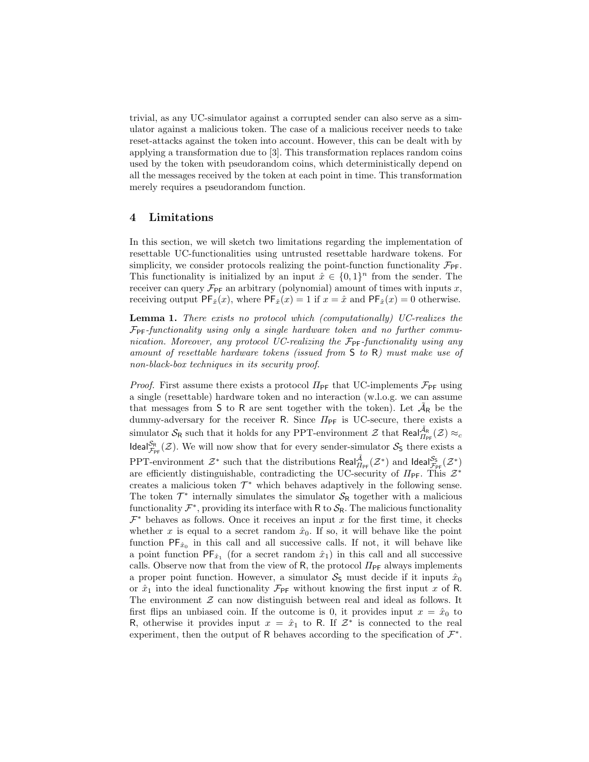trivial, as any UC-simulator against a corrupted sender can also serve as a simulator against a malicious token. The case of a malicious receiver needs to take reset-attacks against the token into account. However, this can be dealt with by applying a transformation due to [3]. This transformation replaces random coins used by the token with pseudorandom coins, which deterministically depend on all the messages received by the token at each point in time. This transformation merely requires a pseudorandom function.

# 4 Limitations

In this section, we will sketch two limitations regarding the implementation of resettable UC-functionalities using untrusted resettable hardware tokens. For simplicity, we consider protocols realizing the point-function functionality  $\mathcal{F}_{PF}$ . This functionality is initialized by an input  $\hat{x} \in \{0,1\}^n$  from the sender. The receiver can query  $\mathcal{F}_{\text{PF}}$  an arbitrary (polynomial) amount of times with inputs x, receiving output  $PF_{\hat{x}}(x)$ , where  $PF_{\hat{x}}(x) = 1$  if  $x = \hat{x}$  and  $PF_{\hat{x}}(x) = 0$  otherwise.

Lemma 1. There exists no protocol which (computationally) UC-realizes the  $\mathcal{F}_{PF}\text{-}functionality using only a single hardware token and no further commu$ nication. Moreover, any protocol UC-realizing the  $\mathcal{F}_{\text{PF}}$ -functionality using any amount of resettable hardware tokens (issued from S to R) must make use of non-black-box techniques in its security proof.

*Proof.* First assume there exists a protocol  $\Pi_{\text{PF}}$  that UC-implements  $\mathcal{F}_{\text{PF}}$  using a single (resettable) hardware token and no interaction (w.l.o.g. we can assume that messages from S to R are sent together with the token). Let  $\tilde{A}_R$  be the dummy-adversary for the receiver R. Since  $\Pi_{\mathsf{PF}}$  is UC-secure, there exists a simulator  $\mathcal{S}_R$  such that it holds for any PPT-environment  $\mathcal Z$  that  $\textsf{Real}_{\Pi_{\textsf{PF}}}^{\tilde{\mathcal{A}}_R}(\mathcal Z)\approx_c$ **Ideal**  $S_{\text{F}}^{S_{\text{R}}}(\mathcal{Z})$ . We will now show that for every sender-simulator  $S_{\text{S}}$  there exists a PPT-environment  $\mathcal{Z}^*$  such that the distributions  $\mathsf{Real}^{\tilde{\mathcal{A}}}_{H_{\mathsf{PF}}}(\mathcal{Z}^*)$  and  $\mathsf{Ideal}^{\mathcal{S}_{\mathsf{S}}}_{\mathcal{F}_{\mathsf{PF}}}(\mathcal{Z}^*)$ are efficiently distinguishable, contradicting the UC-security of  $\Pi_{\textsf{PF}}$ . This  $\mathcal{Z}^*$ creates a malicious token  $\mathcal{T}^*$  which behaves adaptively in the following sense. The token  $\mathcal{T}^*$  internally simulates the simulator  $\mathcal{S}_{\mathsf{R}}$  together with a malicious functionality  $\mathcal{F}^*$ , providing its interface with R to  $\mathcal{S}_{R}$ . The malicious functionality  $\mathcal{F}^*$  behaves as follows. Once it receives an input x for the first time, it checks whether x is equal to a secret random  $\hat{x}_0$ . If so, it will behave like the point function  $PF_{\hat{x}_0}$  in this call and all successive calls. If not, it will behave like a point function  $\mathsf{PF}_{\hat{x}_1}$  (for a secret random  $\hat{x}_1$ ) in this call and all successive calls. Observe now that from the view of R, the protocol  $\Pi_{\text{PF}}$  always implements a proper point function. However, a simulator  $S<sub>S</sub>$  must decide if it inputs  $\hat{x}<sub>0</sub>$ or  $\hat{x}_1$  into the ideal functionality  $\mathcal{F}_{PF}$  without knowing the first input x of R. The environment  $Z$  can now distinguish between real and ideal as follows. It first flips an unbiased coin. If the outcome is 0, it provides input  $x = \hat{x}_0$  to R, otherwise it provides input  $x = \hat{x}_1$  to R. If  $\mathcal{Z}^*$  is connected to the real experiment, then the output of R behaves according to the specification of  $\mathcal{F}^*$ .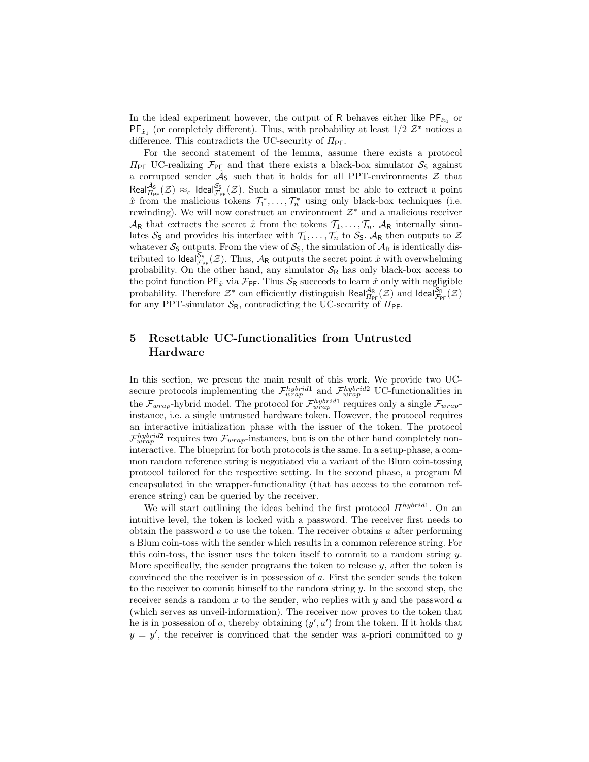In the ideal experiment however, the output of R behaves either like  $\mathsf{PF}_{\hat{x}_0}$  or **PF**<sub> $\hat{x}_1$ </sub> (or completely different). Thus, with probability at least  $1/2$   $\mathcal{Z}^*$  notices a difference. This contradicts the UC-security of  $\Pi_{\text{PF}}$ .

For the second statement of the lemma, assume there exists a protocol  $\Pi_{\text{PF}}$  UC-realizing  $\mathcal{F}_{\text{PF}}$  and that there exists a black-box simulator  $\mathcal{S}_{\text{S}}$  against a corrupted sender  $\tilde{\mathcal{A}}_S$  such that it holds for all PPT-environments  $\tilde{\mathcal{Z}}$  that  $\text{Real}_{\Pi_{\text{PF}}}^{\tilde{\mathcal{A}}_S}(\mathcal{Z}) \approx_c \text{Ideal}_{\mathcal{F}_{\text{PF}}}^{\mathcal{S}_S}(\mathcal{Z}).$  Such a simulator must be able to extract a point  $\hat{x}$  from the malicious tokens  $\mathcal{T}_1^*, \ldots, \mathcal{T}_n^*$  using only black-box techniques (i.e. rewinding). We will now construct an environment  $\mathcal{Z}^*$  and a malicious receiver  $\mathcal{A}_{\mathsf{R}}$  that extracts the secret  $\hat{x}$  from the tokens  $\mathcal{T}_1, \ldots, \mathcal{T}_n$ .  $\mathcal{A}_{\mathsf{R}}$  internally simulates  $S_S$  and provides his interface with  $\mathcal{T}_1, \ldots, \mathcal{T}_n$  to  $S_S$ .  $\mathcal{A}_R$  then outputs to  $\mathcal Z$ whatever  $S_S$  outputs. From the view of  $S_S$ , the simulation of  $A_R$  is identically distributed to Ideal $\frac{S_S}{\mathcal{F}_{PF}}(\mathcal{Z})$ . Thus,  $\mathcal{A}_R$  outputs the secret point  $\hat{x}$  with overwhelming probability. On the other hand, any simulator  $S_R$  has only black-box access to the point function  $PF_{\hat{x}}$  via  $\mathcal{F}_{PF}$ . Thus  $\mathcal{S}_R$  succeeds to learn  $\hat{x}$  only with negligible probability. Therefore  $\mathcal{Z}^*$  can efficiently distinguish  $\mathsf{Real}_{\Pi_{\mathsf{PF}}}^{\mathcal{A}_{\mathsf{R}}}(\mathcal{Z})$  and  $\mathsf{Ideal}_{\mathcal{F}_{\mathsf{PF}}}^{\mathsf{S}_{\mathsf{R}}}(\mathcal{Z})$ for any PPT-simulator  $S_R$ , contradicting the UC-security of  $\Pi_{\text{PF}}$ .

# 5 Resettable UC-functionalities from Untrusted Hardware

In this section, we present the main result of this work. We provide two UCsecure protocols implementing the  $\mathcal{F}^{hybrid1}_{wrap}$  and  $\mathcal{F}^{hybrid2}_{wrap}$  UC-functionalities in the  $\mathcal{F}_{wrap}$ -hybrid model. The protocol for  $\mathcal{F}_{wrap}^{hybrid}$  requires only a single  $\mathcal{F}_{wrap}$ instance, i.e. a single untrusted hardware token. However, the protocol requires an interactive initialization phase with the issuer of the token. The protocol  $\mathcal{F}^{hybrid2}_{wrap}$  requires two  $\mathcal{F}_{wrap}$ -instances, but is on the other hand completely noninteractive. The blueprint for both protocols is the same. In a setup-phase, a common random reference string is negotiated via a variant of the Blum coin-tossing protocol tailored for the respective setting. In the second phase, a program M encapsulated in the wrapper-functionality (that has access to the common reference string) can be queried by the receiver.

We will start outlining the ideas behind the first protocol  $\Pi^{hybrid}$ . On an intuitive level, the token is locked with a password. The receiver first needs to obtain the password  $\alpha$  to use the token. The receiver obtains  $\alpha$  after performing a Blum coin-toss with the sender which results in a common reference string. For this coin-toss, the issuer uses the token itself to commit to a random string  $y$ . More specifically, the sender programs the token to release  $y$ , after the token is convinced the the receiver is in possession of a. First the sender sends the token to the receiver to commit himself to the random string  $y$ . In the second step, the receiver sends a random  $x$  to the sender, who replies with  $y$  and the password  $a$ (which serves as unveil-information). The receiver now proves to the token that he is in possession of a, thereby obtaining  $(y', a')$  from the token. If it holds that  $y = y'$ , the receiver is convinced that the sender was a-priori committed to y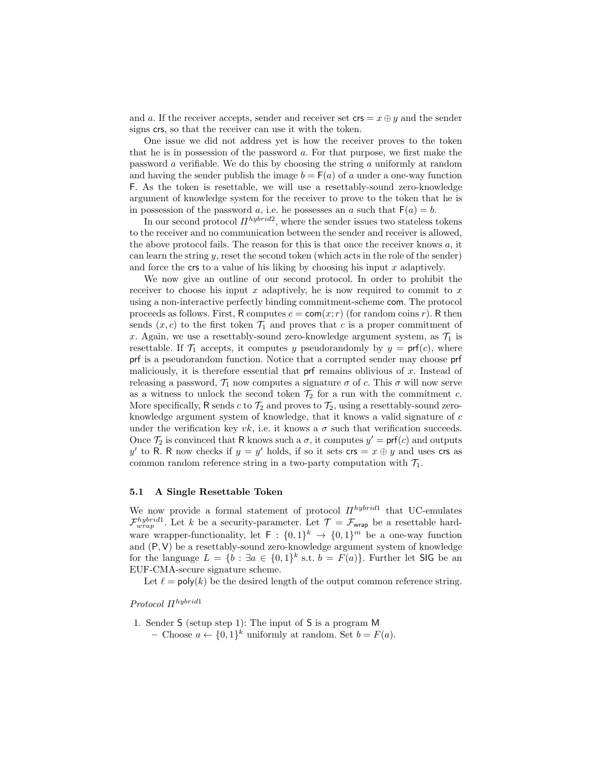and a. If the receiver accepts, sender and receiver set  $\mathsf{crs} = x \oplus y$  and the sender signs crs, so that the receiver can use it with the token.

One issue we did not address yet is how the receiver proves to the token that he is in possession of the password  $a$ . For that purpose, we first make the password a verifiable. We do this by choosing the string a uniformly at random and having the sender publish the image  $b = F(a)$  of a under a one-way function F. As the token is resettable, we will use a resettably-sound zero-knowledge argument of knowledge system for the receiver to prove to the token that he is in possession of the password a, i.e. he possesses an a such that  $F(a) = b$ .

In our second protocol  $\Pi^{hybrid2}$ , where the sender issues two stateless tokens to the receiver and no communication between the sender and receiver is allowed, the above protocol fails. The reason for this is that once the receiver knows  $a$ , it can learn the string  $y$ , reset the second token (which acts in the role of the sender) and force the crs to a value of his liking by choosing his input  $x$  adaptively.

We now give an outline of our second protocol. In order to prohibit the receiver to choose his input  $x$  adaptively, he is now required to commit to  $x$ using a non-interactive perfectly binding commitment-scheme com. The protocol proceeds as follows. First, R computes  $c = \text{com}(x; r)$  (for random coins r). R then sends  $(x, c)$  to the first token  $\mathcal{T}_1$  and proves that c is a proper commitment of x. Again, we use a resettably-sound zero-knowledge argument system, as  $\mathcal{T}_1$  is resettable. If  $\mathcal{T}_1$  accepts, it computes y pseudorandomly by  $y = \text{prf}(c)$ , where prf is a pseudorandom function. Notice that a corrupted sender may choose prf maliciously, it is therefore essential that  $\mathsf{prf}$  remains oblivious of x. Instead of releasing a password,  $\mathcal{T}_1$  now computes a signature  $\sigma$  of c. This  $\sigma$  will now serve as a witness to unlock the second token  $\mathcal{T}_2$  for a run with the commitment c. More specifically, R sends c to  $\mathcal{T}_2$  and proves to  $\mathcal{T}_2$ , using a resettably-sound zeroknowledge argument system of knowledge, that it knows a valid signature of c under the verification key vk, i.e. it knows a  $\sigma$  such that verification succeeds. Once  $\mathcal{T}_2$  is convinced that R knows such a  $\sigma$ , it computes  $y' = \text{prf}(c)$  and outputs y' to R. R now checks if  $y = y'$  holds, if so it sets  $\mathsf{crs} = x \oplus y$  and uses  $\mathsf{crs}$  as common random reference string in a two-party computation with  $\mathcal{T}_1$ .

#### 5.1 A Single Resettable Token

We now provide a formal statement of protocol  $\Pi^{hybrid1}$  that UC-emulates  $\mathcal{F}^{hybrid1}_{wrap}$ . Let k be a security-parameter. Let  $\mathcal{T} = \mathcal{F}_{wrap}$  be a resettable hardware wrapper-functionality, let  $F: \{0,1\}^k \to \{0,1\}^m$  be a one-way function and  $(P, V)$  be a resettably-sound zero-knowledge argument system of knowledge for the language  $L = \{b : \exists a \in \{0,1\}^k \text{ s.t. } b = F(a)\}.$  Further let SIG be an EUF-CMA-secure signature scheme.

Let  $\ell = \text{poly}(k)$  be the desired length of the output common reference string.

#### Protocol  $\Pi^{hybrid1}$

- 1. Sender S (setup step 1): The input of S is a program M
	- Choose  $a \leftarrow \{0,1\}^k$  uniformly at random. Set  $b = F(a)$ .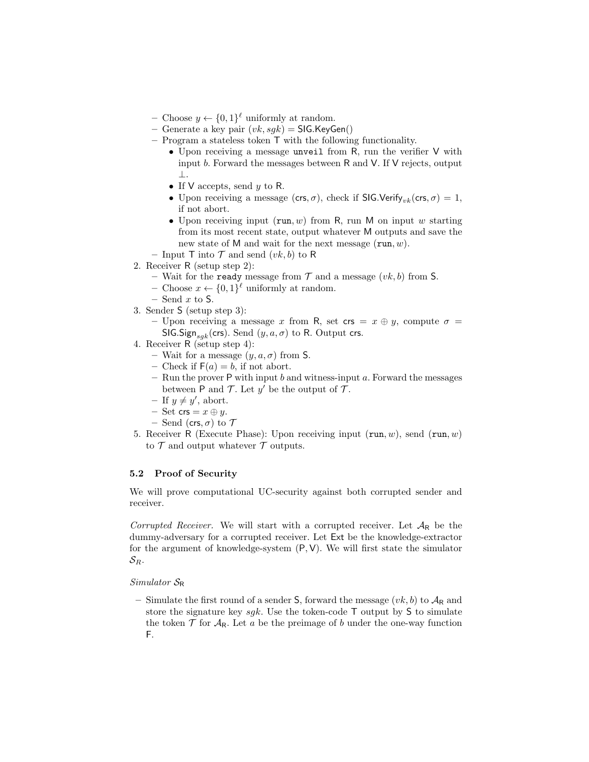- Choose  $y \leftarrow \{0, 1\}^{\ell}$  uniformly at random.
- Generate a key pair  $(vk, sgk) = \mathsf{SIG.KeyGen}()$
- Program a stateless token T with the following functionality.
	- Upon receiving a message unveil from R, run the verifier V with input b. Forward the messages between R and V. If V rejects, output ⊥.
	- If V accepts, send  $y$  to R.
	- Upon receiving a message (crs,  $\sigma$ ), check if SIG.Verify<sub>nk</sub>(crs,  $\sigma$ ) = 1, if not abort.
	- Upon receiving input  $(\text{run}, w)$  from R, run M on input w starting from its most recent state, output whatever M outputs and save the new state of M and wait for the next message  $(\text{run}, w)$ .
- Input T into  $\mathcal T$  and send  $(vk, b)$  to R
- 2. Receiver R (setup step 2):
	- Wait for the ready message from  $\mathcal T$  and a message  $(vk, b)$  from S.
	- Choose  $x \leftarrow \{0,1\}^{\ell}$  uniformly at random.
	- $-$  Send  $x$  to S.
- 3. Sender S (setup step 3):
	- Upon receiving a message x from R, set crs =  $x \oplus y$ , compute  $\sigma$  = SIG.Sign<sub>sak</sub>(crs). Send  $(y, a, \sigma)$  to R. Output crs.
- 4. Receiver R (setup step 4):
	- Wait for a message  $(y, a, \sigma)$  from S.
	- Check if  $F(a) = b$ , if not abort.
	- Run the prover  $P$  with input b and witness-input a. Forward the messages between  $P$  and  $T$ . Let  $y'$  be the output of  $T$ .
	- If  $y \neq y'$ , abort.
	- Set  $\text{crs} = x \oplus y$ .
	- Send (crs,  $\sigma$ ) to  $\mathcal T$
- 5. Receiver R (Execute Phase): Upon receiving input  $(\text{run}, w)$ , send  $(\text{run}, w)$ to  $\mathcal T$  and output whatever  $\mathcal T$  outputs.

### 5.2 Proof of Security

We will prove computational UC-security against both corrupted sender and receiver.

Corrupted Receiver. We will start with a corrupted receiver. Let  $A_R$  be the dummy-adversary for a corrupted receiver. Let Ext be the knowledge-extractor for the argument of knowledge-system  $(P, V)$ . We will first state the simulator  $\mathcal{S}_R$ .

#### $Simulator S_R$

– Simulate the first round of a sender S, forward the message  $(vk, b)$  to  $\mathcal{A}_{\mathbb{R}}$  and store the signature key  $sgk$ . Use the token-code T output by S to simulate the token  $\mathcal T$  for  $\mathcal A_R$ . Let  $a$  be the preimage of  $b$  under the one-way function F.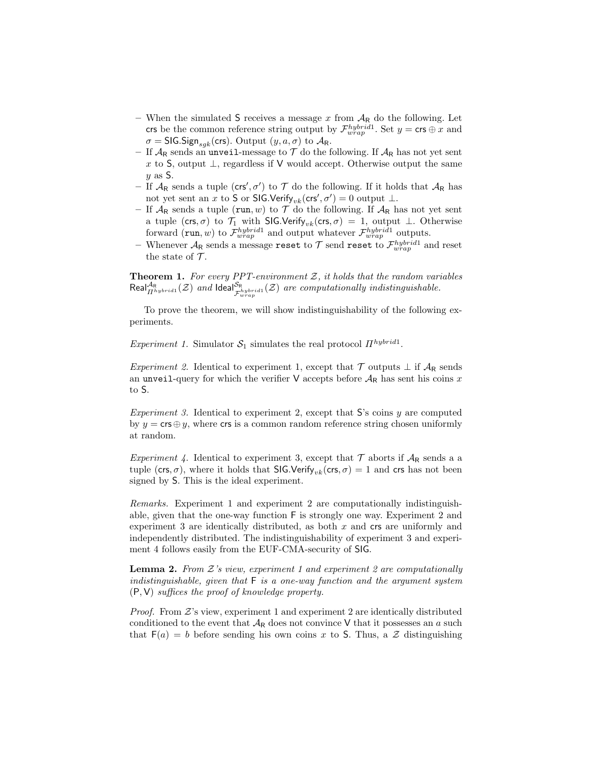- When the simulated S receives a message  $x$  from  $A_R$  do the following. Let crs be the common reference string output by  $\mathcal{F}^{hybrid}_{wrap}$ . Set  $y = \text{crs} \oplus x$  and  $\sigma = \mathsf{SIG}.Sign_{sak}(\mathsf{crs})$ . Output  $(y, a, \sigma)$  to  $\mathcal{A}_{\mathsf{R}}$ .
- If  $A_R$  sends an unveil-message to  $\mathcal T$  do the following. If  $A_R$  has not yet sent x to S, output  $\perp$ , regardless if V would accept. Otherwise output the same  $y$  as S.
- If  $A_R$  sends a tuple  $(\text{crs}', \sigma')$  to  $\mathcal T$  do the following. If it holds that  $A_R$  has not yet sent an x to S or SIG.Verify<sub>vk</sub>(crs',  $\sigma'$ ) = 0 output  $\perp$ .
- If  $\mathcal{A}_{\mathsf{R}}$  sends a tuple (run, w) to  $\mathcal T$  do the following. If  $\mathcal{A}_{\mathsf{R}}$  has not yet sent a tuple (crs,  $\sigma$ ) to  $\mathcal{T}_1$  with SIG.Verify<sub>vk</sub>(crs,  $\sigma$ ) = 1, output ⊥. Otherwise forward (run, w) to  $\mathcal{F}_{wrap}^{hybrid}$  and output whatever  $\mathcal{F}_{wrap}^{hybrid}$  outputs.
- Whenever  $\mathcal{A}_{\mathsf{R}}$  sends a message reset to  $\mathcal{T}$  send reset to  $\mathcal{F}^{hybrid}_{wrap}$  and reset the state of  $\mathcal T$ .

**Theorem 1.** For every PPT-environment  $\mathcal{Z}$ , it holds that the random variables  $\textsf{Real}_{\Pi^{hybrid}}^{A_{\mathsf{R}}}(\mathcal{Z})$  and  $\textsf{Ideal}_{\mathcal{F}_{wrap}^{hybrid}}^{S_{\mathsf{R}}}(\mathcal{Z})$  are computationally indistinguishable.

To prove the theorem, we will show indistinguishability of the following experiments.

Experiment 1. Simulator  $S_1$  simulates the real protocol  $\Pi^{hybrid}$ .

Experiment 2. Identical to experiment 1, except that  $\mathcal T$  outputs  $\perp$  if  $\mathcal A_R$  sends an unveil-query for which the verifier V accepts before  $A_R$  has sent his coins x to S.

Experiment 3. Identical to experiment 2, except that  $S$ 's coins y are computed by  $y = \text{crs} \oplus y$ , where crs is a common random reference string chosen uniformly at random.

Experiment 4. Identical to experiment 3, except that  $\mathcal T$  aborts if  $\mathcal A_R$  sends a a tuple (crs,  $\sigma$ ), where it holds that SIG.Verify<sub>vk</sub>(crs,  $\sigma$ ) = 1 and crs has not been signed by S. This is the ideal experiment.

Remarks. Experiment 1 and experiment 2 are computationally indistinguishable, given that the one-way function F is strongly one way. Experiment 2 and experiment 3 are identically distributed, as both  $x$  and  $\text{crs}$  are uniformly and independently distributed. The indistinguishability of experiment 3 and experiment 4 follows easily from the EUF-CMA-security of SIG.

**Lemma 2.** From  $Z$ 's view, experiment 1 and experiment 2 are computationally indistinguishable, given that  $F$  is a one-way function and the argument system (P, V) suffices the proof of knowledge property.

*Proof.* From  $\mathcal{Z}$ 's view, experiment 1 and experiment 2 are identically distributed conditioned to the event that  $A_R$  does not convince V that it possesses an a such that  $F(a) = b$  before sending his own coins x to S. Thus, a Z distinguishing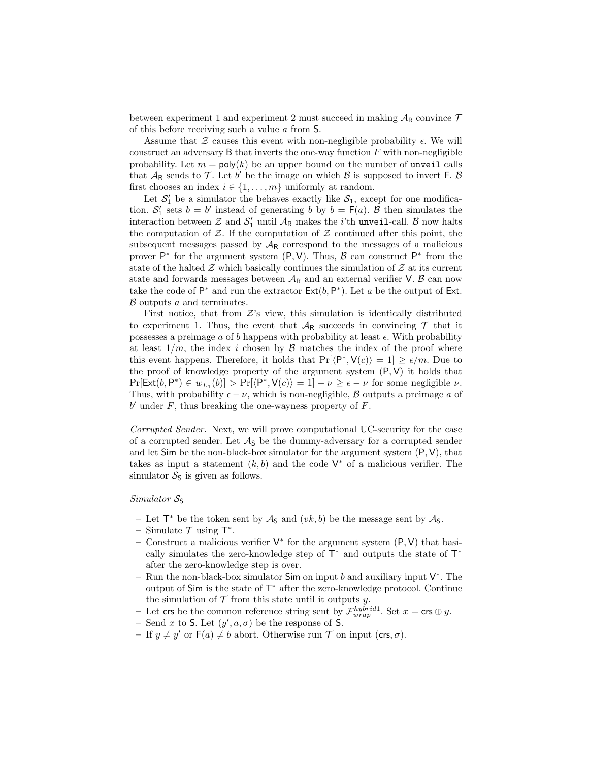between experiment 1 and experiment 2 must succeed in making  $A_R$  convince  $\mathcal T$ of this before receiving such a value a from S.

Assume that  $\mathcal Z$  causes this event with non-negligible probability  $\epsilon$ . We will construct an adversary  $B$  that inverts the one-way function  $F$  with non-negligible probability. Let  $m = \text{poly}(k)$  be an upper bound on the number of unveil calls that  $A_R$  sends to  $T$ . Let b' be the image on which  $\beta$  is supposed to invert F.  $\beta$ first chooses an index  $i \in \{1, \ldots, m\}$  uniformly at random.

Let  $S'_1$  be a simulator the behaves exactly like  $S_1$ , except for one modification.  $S'_1$  sets  $b = b'$  instead of generating b by  $b = F(a)$ . B then simulates the interaction between  $\mathcal Z$  and  $\mathcal S'_1$  until  $\mathcal A_R$  makes the *i*'th unveil-call.  $\mathcal B$  now halts the computation of  $\mathcal Z$ . If the computation of  $\mathcal Z$  continued after this point, the subsequent messages passed by  $A_R$  correspond to the messages of a malicious prover  $\mathsf{P}^*$  for the argument system  $(\mathsf{P}, \mathsf{V})$ . Thus,  $\mathcal B$  can construct  $\mathsf{P}^*$  from the state of the halted  $\mathcal Z$  which basically continues the simulation of  $\mathcal Z$  at its current state and forwards messages between  $\mathcal{A}_{\mathsf{R}}$  and an external verifier V.  $\mathcal{B}$  can now take the code of  $\mathsf{P}^*$  and run the extractor  $\mathsf{Ext}(b, \mathsf{P}^*)$ . Let a be the output of  $\mathsf{Ext}.$  $\beta$  outputs a and terminates.

First notice, that from  $Z$ 's view, this simulation is identically distributed to experiment 1. Thus, the event that  $A_R$  succeeds in convincing  $\mathcal T$  that it possesses a preimage a of b happens with probability at least  $\epsilon$ . With probability at least  $1/m$ , the index i chosen by  $\beta$  matches the index of the proof where this event happens. Therefore, it holds that  $Pr(\langle P^*, V(c) \rangle = 1] \ge \epsilon/m$ . Due to the proof of knowledge property of the argument system  $(P, V)$  it holds that  $Pr[Ext(b, P^*) \in w_{L_1}(b)] > Pr[\langle P^*, V(c) \rangle = 1] - \nu \ge \epsilon - \nu$  for some negligible  $\nu$ . Thus, with probability  $\epsilon - \nu$ , which is non-negligible,  $\beta$  outputs a preimage a of  $b'$  under  $F$ , thus breaking the one-wayness property of  $F$ .

Corrupted Sender. Next, we will prove computational UC-security for the case of a corrupted sender. Let  $\mathcal{A}_s$  be the dummy-adversary for a corrupted sender and let  $Sim$  be the non-black-box simulator for the argument system  $(P, V)$ , that takes as input a statement  $(k, b)$  and the code  $V^*$  of a malicious verifier. The simulator  $S<sub>S</sub>$  is given as follows.

#### $Simulator S<sub>S</sub>$

- Let  $\mathsf{T}^*$  be the token sent by  $\mathcal{A}_{\mathsf{S}}$  and  $(vk, b)$  be the message sent by  $\mathcal{A}_{\mathsf{S}}$ .
- $-$  Simulate  $\mathcal T$  using  $\mathsf T^*$ .
- Construct a malicious verifier V ∗ for the argument system (P, V) that basically simulates the zero-knowledge step of  $\mathsf{T}^*$  and outputs the state of  $\mathsf{T}^*$ after the zero-knowledge step is over.
- $-$  Run the non-black-box simulator Sim on input b and auxiliary input  $V^*$ . The output of Sim is the state of T <sup>∗</sup> after the zero-knowledge protocol. Continue the simulation of  $\mathcal T$  from this state until it outputs y.
- Let crs be the common reference string sent by  $\mathcal{F}_{wrap}^{hybrid}$ . Set  $x = \text{crs} \oplus y$ .
- Send x to S. Let  $(y', a, \sigma)$  be the response of S.
- If  $y \neq y'$  or  $F(a) \neq b$  abort. Otherwise run  $\mathcal T$  on input (crs,  $\sigma$ ).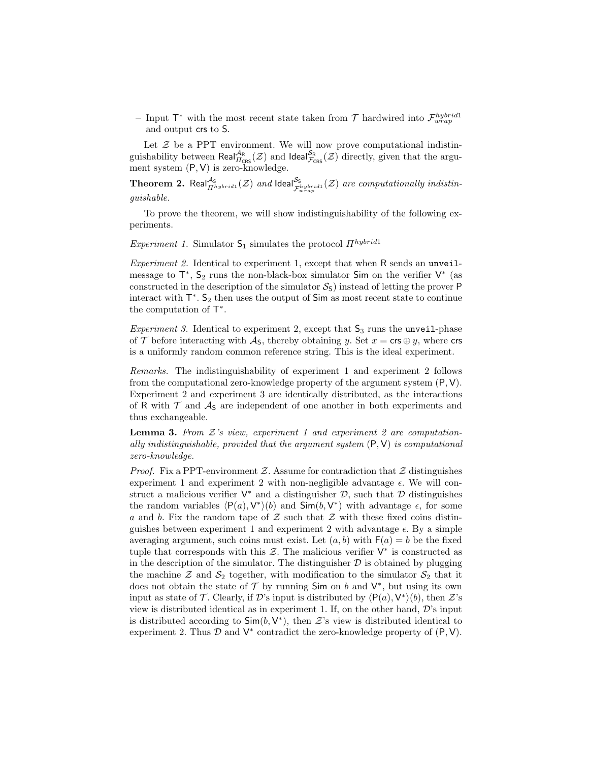− Input T<sup>\*</sup> with the most recent state taken from  $\mathcal{T}$  hardwired into  $\mathcal{F}^{hybrid}_{wrap}$ and output crs to S.

Let  $\mathcal Z$  be a PPT environment. We will now prove computational indistinguishability between  $\text{Real}_{H_{CRS}}^{A_R}(\mathcal{Z})$  and  $\text{Ideal}_{\mathcal{F}_{CRS}}^{S_R}(\mathcal{Z})$  directly, given that the argument system  $(P, V)$  is zero-knowledge.

**Theorem 2.** Real $_{\Pi^{hybrid}}^{A_S}(\mathcal{Z})$  and Ideal $_{\mathcal{F}^{hybrid}_{wrap}}^{S_S}(\mathcal{Z})$  are computationally indistinguishable.

To prove the theorem, we will show indistinguishability of the following experiments.

Experiment 1. Simulator  $\mathsf{S}_1$  simulates the protocol  $\Pi^{hybrid1}$ 

Experiment 2. Identical to experiment 1, except that when R sends an unveilmessage to  $\mathsf{T}^*$ ,  $\mathsf{S}_2$  runs the non-black-box simulator  $\mathsf{Sim}$  on the verifier  $\mathsf{V}^*$  (as constructed in the description of the simulator  $S<sub>S</sub>$ ) instead of letting the prover P interact with  $\mathsf{T}^*$ .  $\mathsf{S}_2$  then uses the output of  $\mathsf{Sim}$  as most recent state to continue the computation of  $\mathsf{T}^*$ .

Experiment 3. Identical to experiment 2, except that  $S_3$  runs the unveil-phase of T before interacting with  $\mathcal{A}_S$ , thereby obtaining y. Set  $x = \text{crs} \oplus y$ , where crs is a uniformly random common reference string. This is the ideal experiment.

Remarks. The indistinguishability of experiment 1 and experiment 2 follows from the computational zero-knowledge property of the argument system  $(P, V)$ . Experiment 2 and experiment 3 are identically distributed, as the interactions of R with  $\mathcal T$  and  $\mathcal A$ s are independent of one another in both experiments and thus exchangeable.

**Lemma 3.** From  $Z$ 's view, experiment 1 and experiment 2 are computationally indistinguishable, provided that the argument system  $(P, V)$  is computational zero-knowledge.

*Proof.* Fix a PPT-environment  $Z$ . Assume for contradiction that  $Z$  distinguishes experiment 1 and experiment 2 with non-negligible advantage  $\epsilon$ . We will construct a malicious verifier  $V^*$  and a distinguisher  $\mathcal{D}$ , such that  $\mathcal D$  distinguishes the random variables  $\langle P(a), V^* \rangle(b)$  and  $\textsf{Sim}(b, V^*)$  with advantage  $\epsilon$ , for some a and b. Fix the random tape of  $\mathcal Z$  such that  $\mathcal Z$  with these fixed coins distinguishes between experiment 1 and experiment 2 with advantage  $\epsilon$ . By a simple averaging argument, such coins must exist. Let  $(a, b)$  with  $F(a) = b$  be the fixed tuple that corresponds with this  $\mathcal{Z}$ . The malicious verifier  $\mathsf{V}^*$  is constructed as in the description of the simulator. The distinguisher  $\mathcal D$  is obtained by plugging the machine  $\mathcal Z$  and  $\mathcal S_2$  together, with modification to the simulator  $\mathcal S_2$  that it does not obtain the state of  $\mathcal T$  by running Sim on b and  $\mathsf{V}^*$ , but using its own input as state of T. Clearly, if D's input is distributed by  $\langle P(a), V^* \rangle (b)$ , then  $\mathcal{Z}$ 's view is distributed identical as in experiment 1. If, on the other hand, D's input is distributed according to  $\mathsf{Sim}(b, \mathsf{V}^*)$ , then  $\mathcal{Z}$ 's view is distributed identical to experiment 2. Thus  $D$  and  $V^*$  contradict the zero-knowledge property of  $(P, V)$ .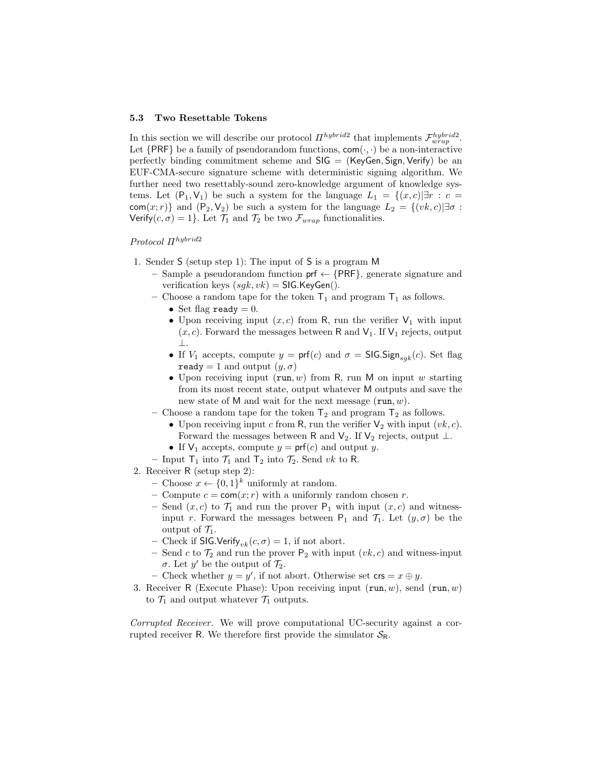#### 5.3 Two Resettable Tokens

In this section we will describe our protocol  $\Pi^{hybrid2}$  that implements  $\mathcal{F}_{wrap}^{hybrid2}$ . Let  $\{PRF\}$  be a family of pseudorandom functions,  $com(\cdot, \cdot)$  be a non-interactive perfectly binding commitment scheme and  $SIG = (KeyGen, Sign, Verify)$  be an EUF-CMA-secure signature scheme with deterministic signing algorithm. We further need two resettably-sound zero-knowledge argument of knowledge systems. Let  $(P_1, V_1)$  be such a system for the language  $L_1 = \{(x, c) | \exists r : c =$ com $(x; r)$ } and  $(P_2, V_2)$  be such a system for the language  $L_2 = \{(vk, c) | \exists \sigma :$ Verify( $c, \sigma$ ) = 1}. Let  $\mathcal{T}_1$  and  $\mathcal{T}_2$  be two  $\mathcal{F}_{wrap}$  functionalities.

# Protocol  $\Pi^{hybrid2}$

- 1. Sender S (setup step 1): The input of S is a program M
	- Sample a pseudorandom function  $\mathsf{prf} \leftarrow \{\mathsf{PRF}\}\,$ , generate signature and verification keys  $(sgk, vk) =$  SIG.KeyGen().
	- Choose a random tape for the token  $T_1$  and program  $T_1$  as follows.
		- Set flag ready  $= 0$ .
		- Upon receiving input  $(x, c)$  from R, run the verifier  $V_1$  with input  $(x, c)$ . Forward the messages between R and  $V_1$ . If  $V_1$  rejects, output ⊥.
		- If  $V_1$  accepts, compute  $y = \text{prf}(c)$  and  $\sigma = \text{SIGSign}_{sak}(c)$ . Set flag ready = 1 and output  $(y, \sigma)$
		- Upon receiving input (run, w) from R, run M on input w starting from its most recent state, output whatever M outputs and save the new state of M and wait for the next message  $(\text{run}, w)$ .
	- Choose a random tape for the token  $T_2$  and program  $T_2$  as follows.
		- Upon receiving input c from R, run the verifier  $V_2$  with input  $(vk, c)$ . Forward the messages between R and  $\mathsf{V}_2$ . If  $\mathsf{V}_2$  rejects, output  $\bot$ .
		- If  $V_1$  accepts, compute  $y = \text{prf}(c)$  and output y.
	- Input  $T_1$  into  $T_1$  and  $T_2$  into  $T_2$ . Send vk to R.
- 2. Receiver R (setup step 2):
	- Choose  $x \leftarrow \{0,1\}^k$  uniformly at random.
	- Compute  $c = \text{com}(x; r)$  with a uniformly random chosen r.
	- Send  $(x, c)$  to  $\mathcal{T}_1$  and run the prover  $P_1$  with input  $(x, c)$  and witnessinput r. Forward the messages between  $P_1$  and  $\mathcal{T}_1$ . Let  $(y, \sigma)$  be the output of  $\mathcal{T}_1$ .
	- Check if SIG.Verify<sub>vk</sub> $(c, \sigma) = 1$ , if not abort.
	- Send c to  $\mathcal{T}_2$  and run the prover  $P_2$  with input  $(vk, c)$  and witness-input σ. Let  $y'$  be the output of  $\mathcal{T}_2$ .
	- Check whether  $y = y'$ , if not abort. Otherwise set  $\mathsf{crs} = x \oplus y$ .
- 3. Receiver R (Execute Phase): Upon receiving input  $(run, w)$ , send  $(run, w)$ to  $\mathcal{T}_1$  and output whatever  $\mathcal{T}_1$  outputs.

Corrupted Receiver. We will prove computational UC-security against a corrupted receiver R. We therefore first provide the simulator  $S_R$ .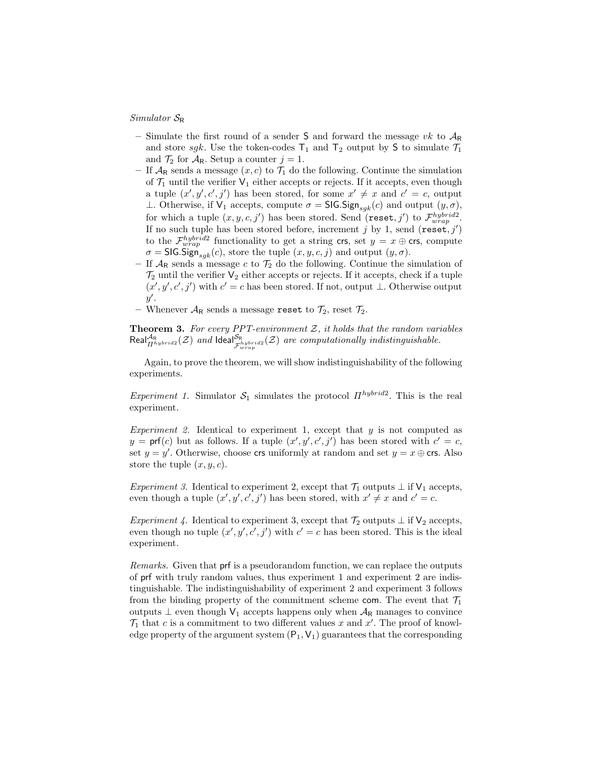#### $Simulator S_R$

- Simulate the first round of a sender S and forward the message  $vk$  to  $A_R$ and store sgk. Use the token-codes  $T_1$  and  $T_2$  output by S to simulate  $\mathcal{T}_1$ and  $\mathcal{T}_2$  for  $\mathcal{A}_{\mathsf{R}}$ . Setup a counter  $j=1$ .
- If  $\mathcal{A}_{\mathsf{R}}$  sends a message  $(x, c)$  to  $\mathcal{T}_1$  do the following. Continue the simulation of  $\mathcal{T}_1$  until the verifier  $\mathsf{V}_1$  either accepts or rejects. If it accepts, even though a tuple  $(x', y', c', j')$  has been stored, for some  $x' \neq x$  and  $c' = c$ , output ⊥. Otherwise, if  $V_1$  accepts, compute  $σ = SIG.Sign_{sgk}(c)$  and output  $(y, σ)$ , for which a tuple  $(x, y, c, j')$  has been stored. Send (reset, j') to  $\mathcal{F}^{hybrid2}_{wrap}$ . If no such tuple has been stored before, increment j by 1, send (reset,  $j'$ ) to the  $\mathcal{F}^{hybrid2}_{wrap}$  functionality to get a string crs, set  $y = x \oplus \text{crs}$ , compute  $\sigma = \mathsf{SIG}.\mathsf{Sign}_{sgk}(c)$ , store the tuple  $(x, y, c, j)$  and output  $(y, \sigma)$ .
- If  $A_R$  sends a message c to  $\mathcal{T}_2$  do the following. Continue the simulation of  $\mathcal{T}_2$  until the verifier  $\mathsf{V}_2$  either accepts or rejects. If it accepts, check if a tuple  $(x', y', c', j')$  with  $c' = c$  has been stored. If not, output  $\perp$ . Otherwise output  $y'.$
- Whenever  $\mathcal{A}_{\mathsf{R}}$  sends a message reset to  $\mathcal{T}_2$ , reset  $\mathcal{T}_2$ .

**Theorem 3.** For every PPT-environment  $Z$ , it holds that the random variables  $\textsf{Real}_{\Pi^{hybrid2}}^{A_{\mathsf{R}}}(Z)$  and  $\textsf{Ideal}_{\mathcal{F}_{wrap}^{hybrid2}}^{S_{\mathsf{R}}}(Z)$  are computationally indistinguishable.

Again, to prove the theorem, we will show indistinguishability of the following experiments.

Experiment 1. Simulator  $S_1$  simulates the protocol  $\Pi^{hybrid2}$ . This is the real experiment.

Experiment 2. Identical to experiment 1, except that  $y$  is not computed as  $y = \text{prf}(c)$  but as follows. If a tuple  $(x', y', c', j')$  has been stored with  $c' = c$ , set  $y = y'$ . Otherwise, choose crs uniformly at random and set  $y = x \oplus \text{crs}$ . Also store the tuple  $(x, y, c)$ .

Experiment 3. Identical to experiment 2, except that  $\mathcal{T}_1$  outputs  $\perp$  if  $\mathsf{V}_1$  accepts, even though a tuple  $(x', y', c', j')$  has been stored, with  $x' \neq x$  and  $c' = c$ .

Experiment 4. Identical to experiment 3, except that  $\mathcal{T}_2$  outputs  $\perp$  if  $\mathsf{V}_2$  accepts, even though no tuple  $(x', y', c', j')$  with  $c' = c$  has been stored. This is the ideal experiment.

Remarks. Given that prf is a pseudorandom function, we can replace the outputs of prf with truly random values, thus experiment 1 and experiment 2 are indistinguishable. The indistinguishability of experiment 2 and experiment 3 follows from the binding property of the commitment scheme com. The event that  $\mathcal{T}_1$ outputs  $\perp$  even though  $V_1$  accepts happens only when  $\mathcal{A}_R$  manages to convince  $\mathcal{T}_1$  that c is a commitment to two different values x and x'. The proof of knowledge property of the argument system  $(P_1, V_1)$  guarantees that the corresponding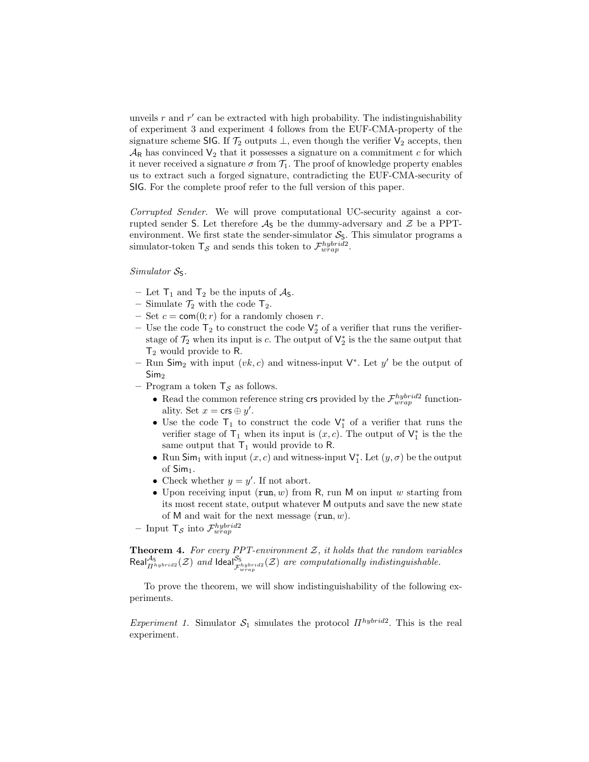unveils  $r$  and  $r'$  can be extracted with high probability. The indistinguishability of experiment 3 and experiment 4 follows from the EUF-CMA-property of the signature scheme SIG. If  $\mathcal{T}_2$  outputs  $\perp$ , even though the verifier  $\mathsf{V}_2$  accepts, then  $A_R$  has convinced  $V_2$  that it possesses a signature on a commitment c for which it never received a signature  $\sigma$  from  $\mathcal{T}_1$ . The proof of knowledge property enables us to extract such a forged signature, contradicting the EUF-CMA-security of SIG. For the complete proof refer to the full version of this paper.

Corrupted Sender. We will prove computational UC-security against a corrupted sender S. Let therefore  $\mathcal{A}_S$  be the dummy-adversary and  $\mathcal Z$  be a PPTenvironment. We first state the sender-simulator  $S<sub>S</sub>$ . This simulator programs a simulator-token  $\mathsf{T}_{\mathcal{S}}$  and sends this token to  $\mathcal{F}^{hybrid2}_{wrap}$ .

 $Simulator S<sub>S</sub>$ .

- Let  $T_1$  and  $T_2$  be the inputs of  $\mathcal{A}_5$ .
- Simulate  $\mathcal{T}_2$  with the code  $\mathsf{T}_2$ .
- Set  $c = \text{com}(0; r)$  for a randomly chosen r.
- Use the code  $T_2$  to construct the code  $V_2^*$  of a verifier that runs the verifierstage of  $\mathcal{T}_2$  when its input is c. The output of  $\mathsf{V}_2^*$  is the the same output that  $T_2$  would provide to R.
- Run Sim<sub>2</sub> with input  $(vk, c)$  and witness-input  $V^*$ . Let y' be the output of Sim<sup>2</sup>
- Program a token  $T_S$  as follows.
	- Read the common reference string crs provided by the  $\mathcal{F}^{hybrid}_{wrap}$  functionality. Set  $x = \mathsf{crs} \oplus y'$ .
	- Use the code  $T_1$  to construct the code  $V_1^*$  of a verifier that runs the verifier stage of  $\mathsf{T}_1$  when its input is  $(x, c)$ . The output of  $\mathsf{V}_1^*$  is the the same output that  $T_1$  would provide to R.
	- Run Sim<sub>1</sub> with input  $(x, c)$  and witness-input  $V_1^*$ . Let  $(y, \sigma)$  be the output of  $Sim<sub>1</sub>$ .
	- Check whether  $y = y'$ . If not abort.
	- Upon receiving input  $(\text{run}, w)$  from R, run M on input w starting from its most recent state, output whatever M outputs and save the new state of M and wait for the next message  $(\text{run}, w)$ .

- Input  $T_S$  into  $\mathcal{F}_{wrap}^{hybrid2}$ 

**Theorem 4.** For every PPT-environment  $Z$ , it holds that the random variables  $\mathsf{Real}_{\Pi^{hybrid2}}^{A_{\mathsf{S}}}( \mathcal{Z} )$  and  $\mathsf{Ideal}_{\mathcal{F}_{wrap}^{hybrid2}}^{S_{\mathsf{S}}}( \mathcal{Z} )$  are computationally indistinguishable.

To prove the theorem, we will show indistinguishability of the following experiments.

Experiment 1. Simulator  $S_1$  simulates the protocol  $\Pi^{hybrid2}$ . This is the real experiment.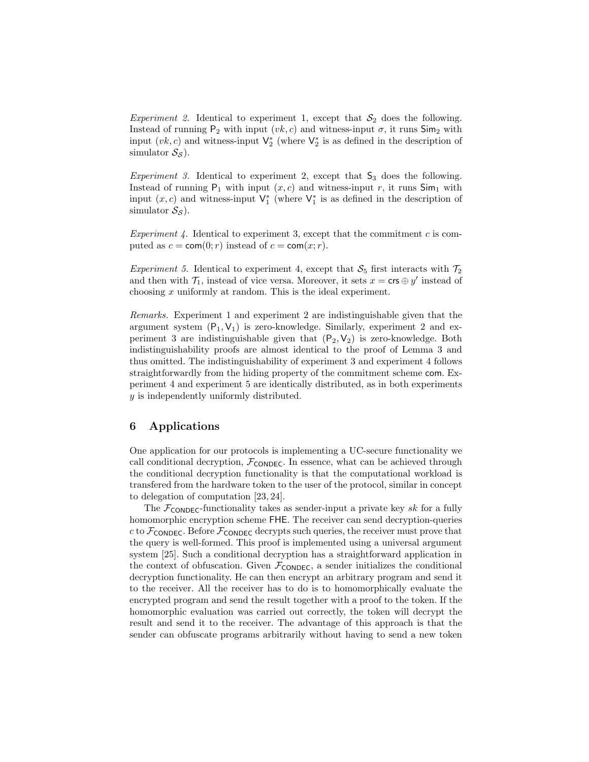Experiment 2. Identical to experiment 1, except that  $S_2$  does the following. Instead of running  $P_2$  with input  $(vk, c)$  and witness-input  $\sigma$ , it runs  $\mathsf{Sim}_2$  with input  $(vk, c)$  and witness-input  $\mathsf{V}_2^*$  (where  $\mathsf{V}_2^*$  is as defined in the description of simulator  $S_{\mathcal{S}}$ ).

Experiment 3. Identical to experiment 2, except that  $S_3$  does the following. Instead of running  $P_1$  with input  $(x, c)$  and witness-input r, it runs  $\mathsf{Sim}_1$  with input  $(x, c)$  and witness-input  $\mathsf{V}_1^*$  (where  $\mathsf{V}_1^*$  is as defined in the description of simulator  $S_{\mathcal{S}}$ ).

Experiment  $\lambda$ . Identical to experiment 3, except that the commitment c is computed as  $c = \text{com}(0; r)$  instead of  $c = \text{com}(x; r)$ .

Experiment 5. Identical to experiment 4, except that  $S_5$  first interacts with  $\mathcal{T}_2$ and then with  $\mathcal{T}_1$ , instead of vice versa. Moreover, it sets  $x = \text{crs} \oplus y'$  instead of choosing  $x$  uniformly at random. This is the ideal experiment.

Remarks. Experiment 1 and experiment 2 are indistinguishable given that the argument system  $(P_1, V_1)$  is zero-knowledge. Similarly, experiment 2 and experiment 3 are indistinguishable given that  $(P_2, V_2)$  is zero-knowledge. Both indistinguishability proofs are almost identical to the proof of Lemma 3 and thus omitted. The indistinguishability of experiment 3 and experiment 4 follows straightforwardly from the hiding property of the commitment scheme com. Experiment 4 and experiment 5 are identically distributed, as in both experiments y is independently uniformly distributed.

# 6 Applications

One application for our protocols is implementing a UC-secure functionality we call conditional decryption,  $\mathcal{F}_{\text{COMDEC}}$ . In essence, what can be achieved through the conditional decryption functionality is that the computational workload is transfered from the hardware token to the user of the protocol, similar in concept to delegation of computation [23, 24].

The  $\mathcal{F}_{\text{COMDEC}}$ -functionality takes as sender-input a private key sk for a fully homomorphic encryption scheme FHE. The receiver can send decryption-queries c to  $\mathcal{F}_{\text{COMDEC}}$ . Before  $\mathcal{F}_{\text{COMDEC}}$  decrypts such queries, the receiver must prove that the query is well-formed. This proof is implemented using a universal argument system [25]. Such a conditional decryption has a straightforward application in the context of obfuscation. Given  $\mathcal{F}_{\text{COMDEC}}$ , a sender initializes the conditional decryption functionality. He can then encrypt an arbitrary program and send it to the receiver. All the receiver has to do is to homomorphically evaluate the encrypted program and send the result together with a proof to the token. If the homomorphic evaluation was carried out correctly, the token will decrypt the result and send it to the receiver. The advantage of this approach is that the sender can obfuscate programs arbitrarily without having to send a new token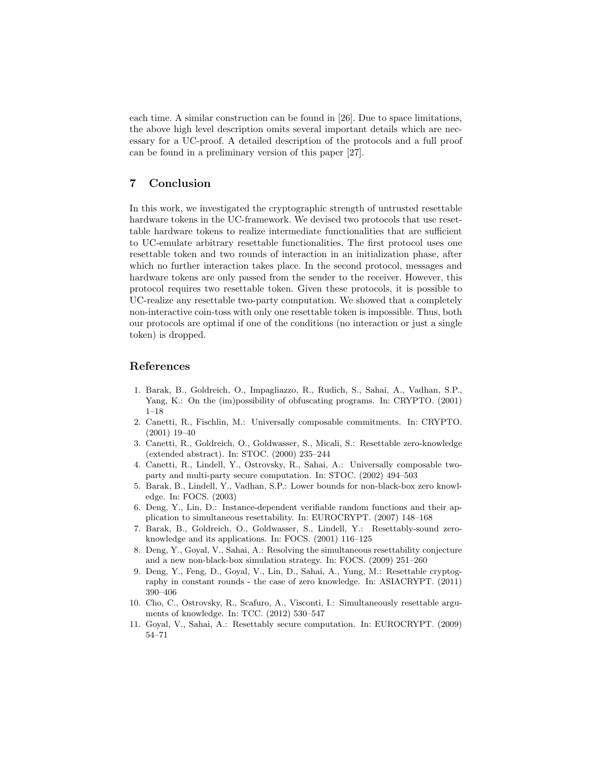each time. A similar construction can be found in [26]. Due to space limitations, the above high level description omits several important details which are necessary for a UC-proof. A detailed description of the protocols and a full proof can be found in a preliminary version of this paper [27].

# 7 Conclusion

In this work, we investigated the cryptographic strength of untrusted resettable hardware tokens in the UC-framework. We devised two protocols that use resettable hardware tokens to realize intermediate functionalities that are sufficient to UC-emulate arbitrary resettable functionalities. The first protocol uses one resettable token and two rounds of interaction in an initialization phase, after which no further interaction takes place. In the second protocol, messages and hardware tokens are only passed from the sender to the receiver. However, this protocol requires two resettable token. Given these protocols, it is possible to UC-realize any resettable two-party computation. We showed that a completely non-interactive coin-toss with only one resettable token is impossible. Thus, both our protocols are optimal if one of the conditions (no interaction or just a single token) is dropped.

# References

- 1. Barak, B., Goldreich, O., Impagliazzo, R., Rudich, S., Sahai, A., Vadhan, S.P., Yang, K.: On the (im)possibility of obfuscating programs. In: CRYPTO. (2001) 1–18
- 2. Canetti, R., Fischlin, M.: Universally composable commitments. In: CRYPTO. (2001) 19–40
- 3. Canetti, R., Goldreich, O., Goldwasser, S., Micali, S.: Resettable zero-knowledge (extended abstract). In: STOC. (2000) 235–244
- 4. Canetti, R., Lindell, Y., Ostrovsky, R., Sahai, A.: Universally composable twoparty and multi-party secure computation. In: STOC. (2002) 494–503
- 5. Barak, B., Lindell, Y., Vadhan, S.P.: Lower bounds for non-black-box zero knowledge. In: FOCS. (2003)
- 6. Deng, Y., Lin, D.: Instance-dependent verifiable random functions and their application to simultaneous resettability. In: EUROCRYPT. (2007) 148–168
- 7. Barak, B., Goldreich, O., Goldwasser, S., Lindell, Y.: Resettably-sound zeroknowledge and its applications. In: FOCS. (2001) 116–125
- 8. Deng, Y., Goyal, V., Sahai, A.: Resolving the simultaneous resettability conjecture and a new non-black-box simulation strategy. In: FOCS. (2009) 251–260
- 9. Deng, Y., Feng, D., Goyal, V., Lin, D., Sahai, A., Yung, M.: Resettable cryptography in constant rounds - the case of zero knowledge. In: ASIACRYPT. (2011) 390–406
- 10. Cho, C., Ostrovsky, R., Scafuro, A., Visconti, I.: Simultaneously resettable arguments of knowledge. In: TCC. (2012) 530–547
- 11. Goyal, V., Sahai, A.: Resettably secure computation. In: EUROCRYPT. (2009) 54–71